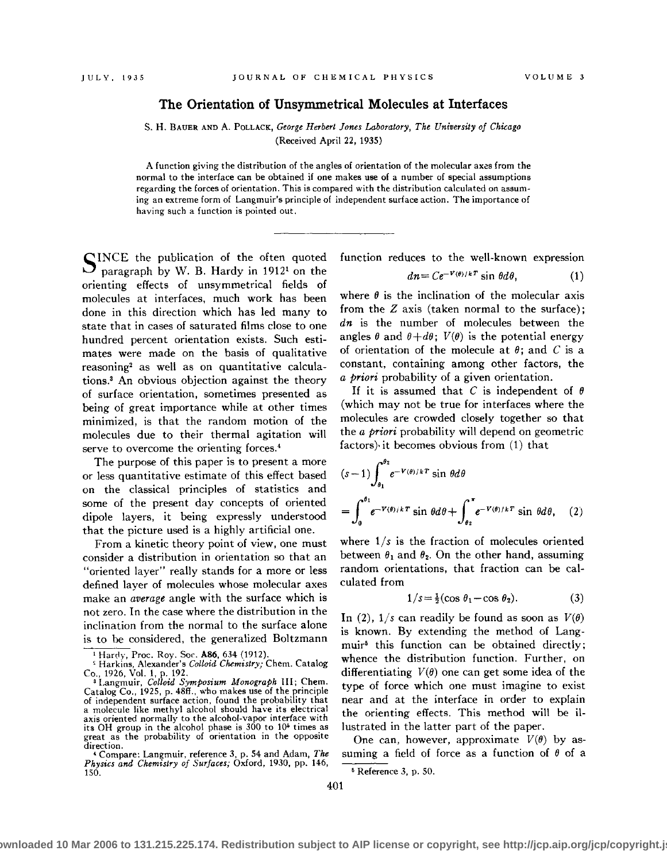## **The Orientation of Unsymmetrical Molecules at Interfaces**

S. **H.** BAUER AND A. PoLLACK, *George Herbert Jones Laboratory, The University of Chicago*  (Received April 22, 1935)

A function giving the distribution of the angles of orientation of the molecular axes from the normal to the interface can be obtained if one makes use of a number of special assumptions regarding the forces of orientation. This is compared with the distribution calculated on assuming an extreme form of Langmuir's principle of independent surface action. The importance of having such a function is pointed out.

SINCE the publication of the often quoted paragraph by W. B. Hardy in 1912<sup>1</sup> on the orienting effects of unsymmetrical fields of molecules at interfaces, much work has been done in this direction which has led many to state that in cases of saturated films close to one hundred percent orientation exists. Such estimates were made on the basis of qualitative reasoning<sup>2</sup> as well as on quantitative calculations.3 An obvious objection against the theory of surface orientation, sometimes presented as being of great importance while at other times minimized, is that the random motion of the molecules due to their thermal agitation will serve to overcome the orienting forces.<sup>4</sup>

The purpose of this paper is to present a more or less quantitative estimate of this effect based on the classical principles of statistics and some of the present day concepts of oriented dipole layers, it being expressly understood that the picture used is a highly artificial one.

From a kinetic theory point of view, one must consider a distribution in orientation so that an "oriented layer" really stands for a more or less defined layer of molecules whose molecular axes make an average angle with the surface which is not zero. In the case where the distribution in the inclination from the normal to the surface alone is to be considered, the generalized Boltzmann function reduces to the well-known expression

$$
dn = Ce^{-V(\theta)/kT} \sin \theta d\theta, \qquad (1)
$$

where  $\theta$  is the inclination of the molecular axis from the *Z* axis (taken normal to the surface); dn is the number of molecules between the angles  $\theta$  and  $\theta+d\theta$ ;  $V(\theta)$  is the potential energy of orientation of the molecule at  $\theta$ ; and  $C$  is a constant, containing among other factors, the *a priori* probability of a given orientation.

If it is assumed that  $C$  is independent of  $\theta$ (which may not be true for interfaces where the molecules are crowded closely together so that the *a priori* probability will depend on geometric factors)· it becomes obvious from (1) that

$$
(s-1)\int_{\theta_1}^{\theta_2} e^{-V(\theta)/kT} \sin \theta d\theta
$$
  
= 
$$
\int_0^{\theta_1} e^{-V(\theta)/kT} \sin \theta d\theta + \int_{\theta_2}^{\pi} e^{-V(\theta)/kT} \sin \theta d\theta, \quad (2)
$$

where  $1/s$  is the fraction of molecules oriented between  $\theta_1$  and  $\theta_2$ . On the other hand, assuming random orientations, that fraction can be calculated from

$$
1/s = \frac{1}{2} (\cos \theta_1 - \cos \theta_2). \tag{3}
$$

In (2),  $1/s$  can readily be found as soon as  $V(\theta)$ is known. By extending the method of Langmuir• this function can be obtained directly; whence the distribution function. Further, on differentiating  $V(\theta)$  one can get some idea of the type of force which one must imagine to exist near and at the interface in order to explain the orienting effects. This method will be illustrated in the latter part of the paper.

One can, however, approximate  $V(\theta)$  by assuming a field of force as a function of *8* of a ' Reference 3, p. 50.

<sup>1</sup> Hanly, Proc. Roy. Sor. **A86,** 634. (1912).

<sup>&#</sup>x27; Harkins, Alexander's *Colloid Chemistry;* Chern. Catalog Co., 1926, Vol. 1, p. 192. 3 Langmuir, *Colloid Symposium Monograph* III; Chern.

Catalog Co., 1925, p. 48ff., who makes use of the principle<br>of independent surface action, found the probability that a molecule like methyl alcohol should have its electrical axis oriented normally to the alcohol-vapor interface with<br>its OH group in the alcohol phase is 300 to 10<sup>5</sup> times as great as the probability of orientation in the opposite **direction.** 

<sup>&#</sup>x27;Compare: Langmuir, reference 3, p. 54 and Adam, *The Physics and Chemistry of Surfaces;* Oxford, 1930, pp. 146, 150.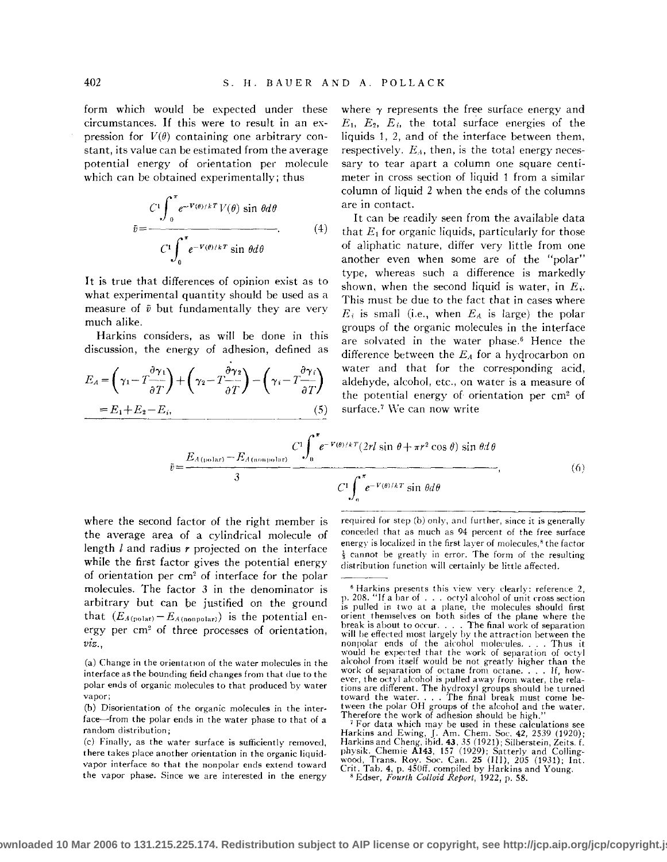form which would be expected under these circumstances. If this were to result in an expression for  $V(\theta)$  containing one arbitrary constant, its value can be estimated from the average potential energy of orientation per molecule which can be obtained experimentally; thus

$$
\bar{v} = \frac{C^1 \int_0^{\pi} e^{-V(\theta)/kT} V(\theta) \sin \theta d\theta}{C^1 \int_0^{\pi} e^{-V(\theta)/kT} \sin \theta d\theta}.
$$
 (4)

It is true that differences of opinion exist as to what experimental quantity should be used as a measure of  $\bar{v}$  but fundamentally they are very much alike.

Harkins considers, as will be done in this discussion, the energy of adhesion, defined as

$$
E_A = \left(\gamma_1 - T \frac{\partial \gamma_1}{\partial T}\right) + \left(\gamma_2 - T \frac{\partial \gamma_2}{\partial T}\right) - \left(\gamma_1 - T \frac{\partial \gamma_1}{\partial T}\right)
$$
  
=  $E_1 + E_2 - E_1,$  (5)

where  $\gamma$  represents the free surface energy and  $E_1$ ,  $E_2$ ,  $E_i$ , the total surface energies of the liquids 1, 2, and of the interface between them, respectively.  $E_A$ , then, is the total energy necessary to tear apart a column one square centimeter in cross section of liquid 1 from a similar column of liquid 2 when the ends of the columns are in contact.

It can be readily seen from the available data that  $E_1$  for organic liquids, particularly for those of aliphatic nature, differ very little from one another even when some are of the "polar" type, whereas such a difference is markedly shown, when the second liquid is water, in *Ei·*  This must be due to the fact that in cases where  $E_i$  is small (i.e., when  $E_A$  is large) the polar groups of the organic molecules in the interface are solvated in the water phase.<sup>6</sup> Hence the difference between the *EA* for a hydrocarbon on water and that for the corresponding acid, aldehyde, alcohol, etc., on water is a measure of the potential energy of orientation per cm2 of surface.<sup>7</sup> We can now write

$$
\bar{v} = \frac{E_{A(\text{polar})} - E_{A(\text{nonpolar})}}{3} \frac{C \int_{0}^{\pi} e^{-V(\theta)/k} T(2rl \sin \theta + \pi r^{2} \cos \theta) \sin \theta d\theta}{C \int_{0}^{\pi} e^{-V(\theta)/k} \sin \theta d\theta},
$$
\n(6)

where the second factor of the right member is the average area of a cylindrical molecule of length l and radius *r* projected on the interface while the first factor gives the potential energy of orientation per cm2 of interface for the polar molecules. The factor 3 in the denominator is arbitrary but can be justified on the ground that  $(E_{A(polar)}-E_{A(ponpolar)})$  is the potential energy per em' of three processes of orientation, *viz.,* 

**(a) Change in the orientation of the water molecules in the**  interface as the bounding field changes from that due to the polar ends of organic molecules to that produced by water **vapor;** 

**(c) Finally, as the water surface is sufficiently removed, there takes place another orientation in the organic liquidvapor interface so that the nonpolar ends extend toward the vapor phase. Since we are interested in the energy** 

required for step  $(b)$  only, and further, since it is generally **conceded that as much as 94 percent of the free surface energy** is localized in the first layer of molecules,<sup>8</sup> the factor **l- cannot be greatly in error. The form of the resulting**  distribution function will certainly be little affected.

<sup>(</sup>b) Disorientation of the organic molecules in the interface-from the polar ends in the water phase to that of a **random distribution;** 

<sup>&</sup>lt;sup>6</sup> Harkins presents this view very clearly: reference 2, p. 208. "If a bar of ... octyl alcohol of unit cross section is pulled in two at a plane, the molecules should first orient themselves on both sides of the plane where the break is about to occur.... The final work of separation<br>will be effected most largely by the attraction between the<br>will be effected most largely by the attraction between the<br>nonpolar ends of the alcohol molecules.... Th **nonpolar ends of the alcohol molecules.... Thus it would be expected that the work of separation of octyl** alcohol from itself would be not greatly higher than the **work of separation of octane from octane .** ... **If, however, the octyl alcohol is pulled away from water, the rela**tions are different. The hydroxyl groups should be turned tions are different. The hydroxyl groups should be turned<br>toward the water. . . . The final break must come be-<br>tween the polar OH groups of the alcohol and the water. Therefore the work of adhesion should be high."<br><sup>7</sup> For data which may be used in these calculations see

<sup>&</sup>lt;sup>7</sup> For data which may be used in these calculations see<br>Harkins and Ewing, J. Am. Chem. Soc. 42, 2539 (1920);<br>Harkins and Cheng, ibid. 43, 35 (1921); Silberstein, Zeits. f.<br>physik. Chemie **A143**, 157 (1929); Satterly and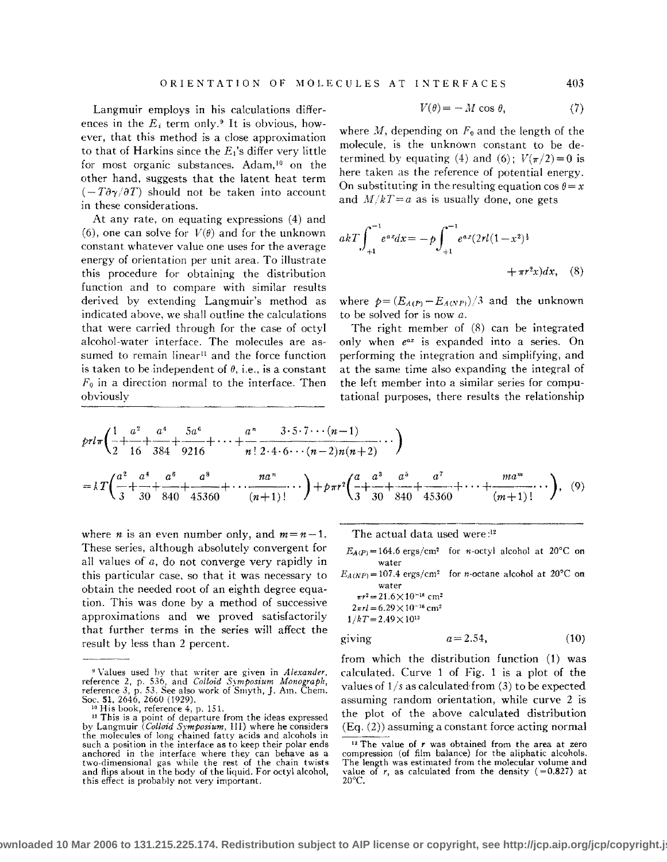Langmuir employs in his calculations differences in the  $E_i$  term only.<sup>9</sup> It is obvious, however, that this method is a close approximation to that of Harkins since the  $E_1$ 's differ very little for most organic substances. Adam,<sup>10</sup> on the other hand, suggests that the latent heat term  $(-T\partial \gamma/\partial T)$  should not be taken into account in these considerations.

At any rate, on equating expressions (4) and (6), one can solve for  $V(\theta)$  and for the unknown constant whatever value one uses for the average energy of orientation per unit area. To illustrate this procedure for obtaining the distribution function and to compare with similar results derived by extending Langmuir's method as indicated above, we shall outline the calculations that were carried through for the case of octyl alcohol-water interface. The molecules are assumed to remain linear<sup>11</sup> and the force function is taken to be independent of  $\theta$ , i.e., is a constant  $F_0$  in a direction normal to the interface. Then obviously

$$
V(\theta) = -M\cos\theta,\tag{7}
$$

where  $M$ , depending on  $F_0$  and the length of the molecule, is the unknown constant to be determined by equating (4) and (6);  $V(\pi/2) = 0$  is here taken as the reference of potential energy. On substituting in the resulting equation  $\cos \theta = x$ and  $M/kT=a$  as is usually done, one gets

$$
akT \int_{+1}^{-1} e^{ax} dx = -p \int_{+1}^{-1} e^{ax} (2rl(1-x^2)^{\frac{1}{2}} + \pi r^2 x) dx, \quad (8)
$$

where  $p = (E_{A(P)} - E_{A(NP)})/3$  and the unknown to be solved for is now *a.* 

The right member of  $(8)$  can be integrated only when *e•x* is expanded into a series. On performing the integration and simplifying, and at the same time also expanding the integral of the left member into a similar series for computational purposes, there results the relationship

$$
prl\pi\left(\frac{1}{2} + \frac{a^2}{16} + \frac{a^4}{384} + \frac{5a^6}{9216} + \dots + \frac{a^n}{n!} \frac{3 \cdot 5 \cdot 7 \cdots (n-1)}{2 \cdot 4 \cdot 6 \cdots (n-2)n(n+2)} \cdots \right)
$$
  
= 
$$
kT\left(\frac{a^2}{3} + \frac{a^4}{30} + \frac{a^6}{840} + \frac{a^8}{45360} + \dots + \frac{na^n}{(n+1)!} \cdots \right) + p\pi r^2 \left(\frac{a}{3} + \frac{a^3}{30} + \frac{a^5}{840} + \frac{a^7}{45360} + \dots + \frac{ma^m}{(m+1)!} \cdots \right), \quad (9)
$$

where *n* is an even number only, and  $m = n - 1$ . These series, although absolutely convergent for all values of *a,* do not converge very rapidly in this particular case, so that it was necessary to obtain the needed root of an eighth degree equation. This was done by a method of successive approximations and we proved satisfactorily that further terms in the series will affect the result by less than 2 percent.

The actual data used were : 12

 $E_{A(P)} = 164.6$  ergs/cm<sup>2</sup> for *n*-octyl alcohol at 20°C on **water** 

 $E_{A(NP)} = 107.4 \text{ ergs/cm}^2$  for *n*-octane alcohol at 20°C on **water** 

$$
\pi r^2 = 21.6 \times 10^{-16} \text{ cm}^2
$$
  

$$
2\pi rl = 6.29 \times 10^{-16} \text{ cm}^2
$$
  

$$
1/kT = 2.49 \times 10^{13}
$$

$$
giving \t a = 2.54, \t (10)
$$

from which the distribution function (1) was calculated. Curve 1 of Fig. 1 is a plot of the values of  $1/s$  as calculated from (3) to be expected assuming random orientation, while curve 2 is the plot of the above calculated distribution (Eq. (2)) assuming a constant force acting normal

<sup>&</sup>quot;Values used by that writer are given in *Alexander,*  reference 2, p. 536, and *Colloid Symposium Monograph,*<br>reference 3, p. 53. See also work of Smyth, J. Am. Chem.<br>Soc. **51**, 2646, 2660 (1929).

<sup>&</sup>lt;sup>10</sup> His book, reference 4, p. 151.<br><sup>11</sup> This is a point of departure from the ideas expressed by Langmuir *(Colloid Symposium,* III} where he considers the molecules of long chained fatty acids and alcohols in such a position in the interface as to keep their polar ends anchored in the interface where they can behave as a two-dimensional gas while the rest of the chain twists and flips about in the body of the liquid. For octyl alcohol, this effect is probably not very important.

<sup>&</sup>lt;sup>12</sup> The value of r was obtained from the area at zero compression (of film balance) for the aliphatic alcohols. The length was estimated from the molecular volume and value of  $r$ , as calculated from the density  $(=0.827)$  at 20°C.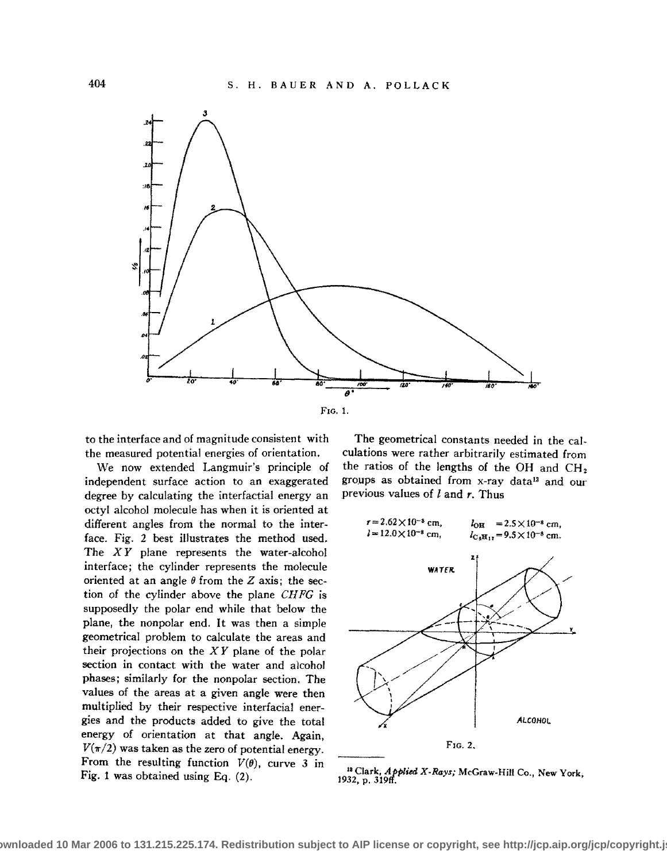

to the interface and of magnitude consistent with the measured potential energies of orientation.

We now extended Langmuir's principle of independent surface action to an exaggerated degree by calculating the interfactial energy an octyl alcohol molecule has when it is oriented at different angles from the normal to the interface. Fig. 2 best illustrates the method used. The  $XY$  plane represents the water-alcohol interface; the cylinder represents the molecule oriented at an angle  $\theta$  from the Z axis; the section of the cylinder above the plane *CH FG* is supposedly the polar end while that below the plane, the nonpolar end. It was then a simple geometrical problem to calculate the areas and their projections on the *X Y* plane of the polar section in contact with the water and alcohol phases; similarly for the nonpolar section. The values of the areas at a given angle were then multiplied by their respective interfacial energies and the products added to give the total energy of orientation at that angle. Again,  $V(\pi/2)$  was taken as the zero of potential energy. From the resulting function  $V(\theta)$ , curve 3 in Fig. 1 was obtained using Eq. (2).

The geometrical constants needed in the calculations were rather arbitrarily estimated from the ratios of the lengths of the OH and CH2 groups as obtained from x-ray data<sup>13</sup> and our previous values of  $l$  and  $r$ . Thus



## <sup>18</sup> Clark, *Applied X-Rays;* McGraw-Hill Co., New York,<br>1932, p. 319ff.